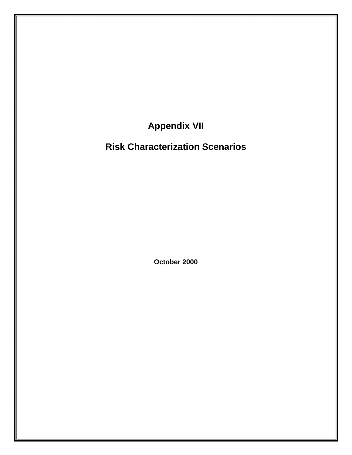**Appendix VII** 

**Risk Characterization Scenarios** 

**October 2000**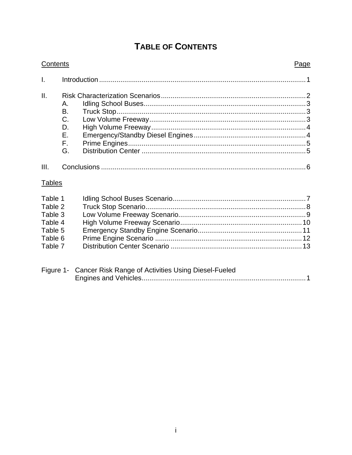# **TABLE OF CONTENTS**

|                                                                           | Contents<br>Page                       |  |  |  |  |
|---------------------------------------------------------------------------|----------------------------------------|--|--|--|--|
| I.                                                                        |                                        |  |  |  |  |
| Ш.                                                                        | Α.<br>В.<br>C.<br>D.<br>Е.<br>F.<br>G. |  |  |  |  |
| III.                                                                      |                                        |  |  |  |  |
| <b>Tables</b>                                                             |                                        |  |  |  |  |
| Table 1<br>Table 2<br>Table 3<br>Table 4<br>Table 5<br>Table 6<br>Table 7 |                                        |  |  |  |  |

| Figure 1- Cancer Risk Range of Activities Using Diesel-Fueled |  |
|---------------------------------------------------------------|--|
|                                                               |  |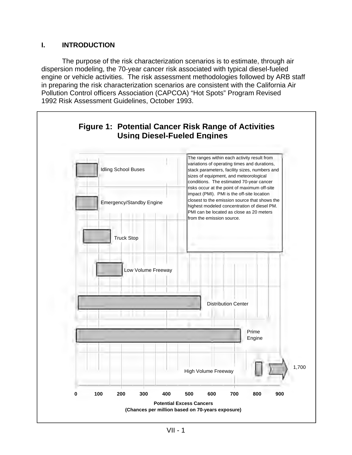# **I. INTRODUCTION**

The purpose of the risk characterization scenarios is to estimate, through air dispersion modeling, the 70-year cancer risk associated with typical diesel-fueled engine or vehicle activities. The risk assessment methodologies followed by ARB staff in preparing the risk characterization scenarios are consistent with the California Air Pollution Control officers Association (CAPCOA) "Hot Spots" Program Revised 1992 Risk Assessment Guidelines, October 1993.

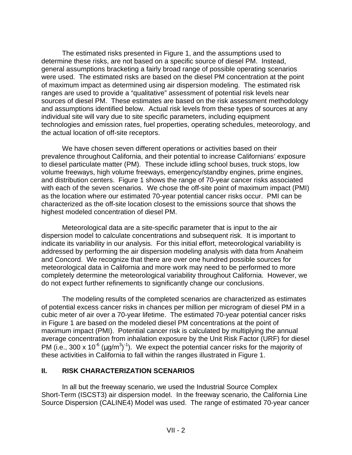The estimated risks presented in Figure 1, and the assumptions used to determine these risks, are not based on a specific source of diesel PM. Instead, general assumptions bracketing a fairly broad range of possible operating scenarios were used. The estimated risks are based on the diesel PM concentration at the point of maximum impact as determined using air dispersion modeling. The estimated risk ranges are used to provide a "qualitative" assessment of potential risk levels near sources of diesel PM. These estimates are based on the risk assessment methodology and assumptions identified below. Actual risk levels from these types of sources at any individual site will vary due to site specific parameters, including equipment technologies and emission rates, fuel properties, operating schedules, meteorology, and the actual location of off-site receptors.

We have chosen seven different operations or activities based on their prevalence throughout California, and their potential to increase Californians' exposure to diesel particulate matter (PM). These include idling school buses, truck stops, low volume freeways, high volume freeways, emergency/standby engines, prime engines, and distribution centers. Figure 1 shows the range of 70-year cancer risks associated with each of the seven scenarios. We chose the off-site point of maximum impact (PMI) as the location where our estimated 70-year potential cancer risks occur. PMI can be characterized as the off-site location closest to the emissions source that shows the highest modeled concentration of diesel PM.

Meteorological data are a site-specific parameter that is input to the air dispersion model to calculate concentrations and subsequent risk. It is important to indicate its variability in our analysis. For this initial effort, meteorological variability is addressed by performing the air dispersion modeling analysis with data from Anaheim and Concord. We recognize that there are over one hundred possible sources for meteorological data in California and more work may need to be performed to more completely determine the meteorological variability throughout California. However, we do not expect further refinements to significantly change our conclusions.

The modeling results of the completed scenarios are characterized as estimates of potential excess cancer risks in chances per million per microgram of diesel PM in a cubic meter of air over a 70-year lifetime. The estimated 70-year potential cancer risks in Figure 1 are based on the modeled diesel PM concentrations at the point of maximum impact (PMI). Potential cancer risk is calculated by multiplying the annual average concentration from inhalation exposure by the Unit Risk Factor (URF) for diesel PM (i.e., 300 x 10<sup>-6</sup> ( $\mu$ g/m<sup>3</sup>)<sup>-1</sup>). We expect the potential cancer risks for the majority of these activities in California to fall within the ranges illustrated in Figure 1.

#### **II. RISK CHARACTERIZATION SCENARIOS**

In all but the freeway scenario, we used the Industrial Source Complex Short-Term (ISCST3) air dispersion model. In the freeway scenario, the California Line Source Dispersion (CALINE4) Model was used. The range of estimated 70-year cancer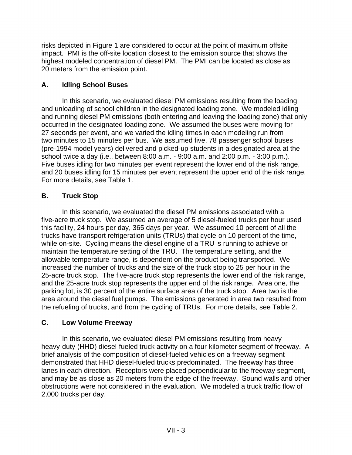risks depicted in Figure 1 are considered to occur at the point of maximum offsite impact. PMI is the off-site location closest to the emission source that shows the highest modeled concentration of diesel PM. The PMI can be located as close as 20 meters from the emission point.

# **A. Idling School Buses**

In this scenario, we evaluated diesel PM emissions resulting from the loading and unloading of school children in the designated loading zone. We modeled idling and running diesel PM emissions (both entering and leaving the loading zone) that only occurred in the designated loading zone. We assumed the buses were moving for 27 seconds per event, and we varied the idling times in each modeling run from two minutes to 15 minutes per bus. We assumed five, 78 passenger school buses (pre-1994 model years) delivered and picked-up students in a designated area at the school twice a day (i.e., between 8:00 a.m. - 9:00 a.m. and 2:00 p.m. - 3:00 p.m.). Five buses idling for two minutes per event represent the lower end of the risk range, and 20 buses idling for 15 minutes per event represent the upper end of the risk range. For more details, see Table 1.

# **B. Truck Stop**

In this scenario, we evaluated the diesel PM emissions associated with a five-acre truck stop. We assumed an average of 5 diesel-fueled trucks per hour used this facility, 24 hours per day, 365 days per year. We assumed 10 percent of all the trucks have transport refrigeration units (TRUs) that cycle-on 10 percent of the time, while on-site. Cycling means the diesel engine of a TRU is running to achieve or maintain the temperature setting of the TRU. The temperature setting, and the allowable temperature range, is dependent on the product being transported. We increased the number of trucks and the size of the truck stop to 25 per hour in the 25-acre truck stop. The five-acre truck stop represents the lower end of the risk range, and the 25-acre truck stop represents the upper end of the risk range. Area one, the parking lot, is 30 percent of the entire surface area of the truck stop. Area two is the area around the diesel fuel pumps. The emissions generated in area two resulted from the refueling of trucks, and from the cycling of TRUs. For more details, see Table 2.

# **C. Low Volume Freeway**

In this scenario, we evaluated diesel PM emissions resulting from heavy heavy-duty (HHD) diesel-fueled truck activity on a four-kilometer segment of freeway. A brief analysis of the composition of diesel-fueled vehicles on a freeway segment demonstrated that HHD diesel-fueled trucks predominated. The freeway has three lanes in each direction. Receptors were placed perpendicular to the freeway segment, and may be as close as 20 meters from the edge of the freeway. Sound walls and other obstructions were not considered in the evaluation. We modeled a truck traffic flow of 2,000 trucks per day.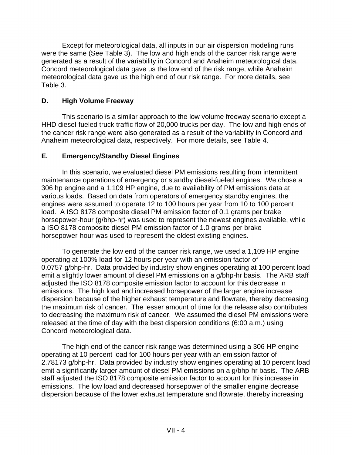Except for meteorological data, all inputs in our air dispersion modeling runs were the same (See Table 3). The low and high ends of the cancer risk range were generated as a result of the variability in Concord and Anaheim meteorological data. Concord meteorological data gave us the low end of the risk range, while Anaheim meteorological data gave us the high end of our risk range. For more details, see Table 3.

#### **D. High Volume Freeway**

This scenario is a similar approach to the low volume freeway scenario except a HHD diesel-fueled truck traffic flow of 20,000 trucks per day. The low and high ends of the cancer risk range were also generated as a result of the variability in Concord and Anaheim meteorological data, respectively. For more details, see Table 4.

# **E. Emergency/Standby Diesel Engines**

In this scenario, we evaluated diesel PM emissions resulting from intermittent maintenance operations of emergency or standby diesel-fueled engines. We chose a 306 hp engine and a 1,109 HP engine, due to availability of PM emissions data at various loads. Based on data from operators of emergency standby engines, the engines were assumed to operate 12 to 100 hours per year from 10 to 100 percent load. A ISO 8178 composite diesel PM emission factor of 0.1 grams per brake horsepower-hour (g/bhp-hr) was used to represent the newest engines available, while a ISO 8178 composite diesel PM emission factor of 1.0 grams per brake horsepower-hour was used to represent the oldest existing engines.

To generate the low end of the cancer risk range, we used a 1,109 HP engine operating at 100% load for 12 hours per year with an emission factor of 0.0757 g/bhp-hr. Data provided by industry show engines operating at 100 percent load emit a slightly lower amount of diesel PM emissions on a g/bhp-hr basis. The ARB staff adjusted the ISO 8178 composite emission factor to account for this decrease in emissions. The high load and increased horsepower of the larger engine increase dispersion because of the higher exhaust temperature and flowrate, thereby decreasing the maximum risk of cancer. The lesser amount of time for the release also contributes to decreasing the maximum risk of cancer. We assumed the diesel PM emissions were released at the time of day with the best dispersion conditions (6:00 a.m.) using Concord meteorological data.

The high end of the cancer risk range was determined using a 306 HP engine operating at 10 percent load for 100 hours per year with an emission factor of 2.78173 g/bhp-hr. Data provided by industry show engines operating at 10 percent load emit a significantly larger amount of diesel PM emissions on a g/bhp-hr basis. The ARB staff adjusted the ISO 8178 composite emission factor to account for this increase in emissions. The low load and decreased horsepower of the smaller engine decrease dispersion because of the lower exhaust temperature and flowrate, thereby increasing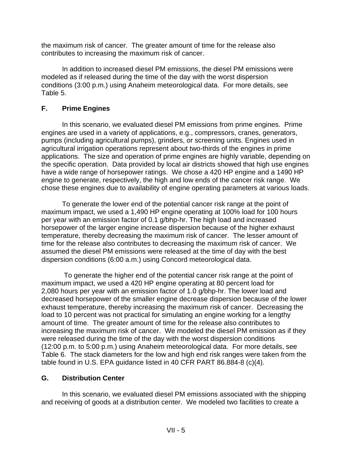the maximum risk of cancer. The greater amount of time for the release also contributes to increasing the maximum risk of cancer.

In addition to increased diesel PM emissions, the diesel PM emissions were modeled as if released during the time of the day with the worst dispersion conditions (3:00 p.m.) using Anaheim meteorological data. For more details, see Table 5.

## **F. Prime Engines**

In this scenario, we evaluated diesel PM emissions from prime engines. Prime engines are used in a variety of applications, e.g., compressors, cranes, generators, pumps (including agricultural pumps), grinders, or screening units. Engines used in agricultural irrigation operations represent about two-thirds of the engines in prime applications. The size and operation of prime engines are highly variable, depending on the specific operation. Data provided by local air districts showed that high use engines have a wide range of horsepower ratings. We chose a 420 HP engine and a 1490 HP engine to generate, respectively, the high and low ends of the cancer risk range. We chose these engines due to availability of engine operating parameters at various loads.

To generate the lower end of the potential cancer risk range at the point of maximum impact, we used a 1,490 HP engine operating at 100% load for 100 hours per year with an emission factor of 0.1 g/bhp-hr. The high load and increased horsepower of the larger engine increase dispersion because of the higher exhaust temperature, thereby decreasing the maximum risk of cancer. The lesser amount of time for the release also contributes to decreasing the maximum risk of cancer. We assumed the diesel PM emissions were released at the time of day with the best dispersion conditions (6:00 a.m.) using Concord meteorological data.

 To generate the higher end of the potential cancer risk range at the point of maximum impact, we used a 420 HP engine operating at 80 percent load for 2,080 hours per year with an emission factor of 1.0 g/bhp-hr. The lower load and decreased horsepower of the smaller engine decrease dispersion because of the lower exhaust temperature, thereby increasing the maximum risk of cancer. Decreasing the load to 10 percent was not practical for simulating an engine working for a lengthy amount of time. The greater amount of time for the release also contributes to increasing the maximum risk of cancer. We modeled the diesel PM emission as if they were released during the time of the day with the worst dispersion conditions (12:00 p.m. to 5:00 p.m.) using Anaheim meteorological data. For more details, see Table 6. The stack diameters for the low and high end risk ranges were taken from the table found in U.S. EPA guidance listed in 40 CFR PART 86.884-8 (c)(4).

#### **G. Distribution Center**

In this scenario, we evaluated diesel PM emissions associated with the shipping and receiving of goods at a distribution center. We modeled two facilities to create a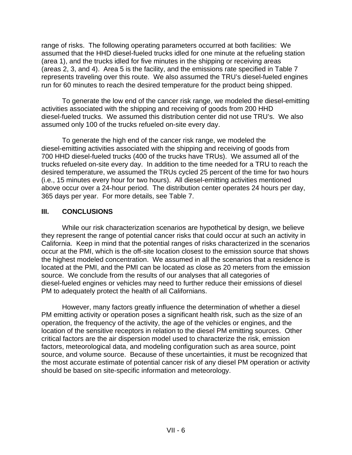range of risks. The following operating parameters occurred at both facilities: We assumed that the HHD diesel-fueled trucks idled for one minute at the refueling station (area 1), and the trucks idled for five minutes in the shipping or receiving areas (areas 2, 3, and 4). Area 5 is the facility, and the emissions rate specified in Table 7 represents traveling over this route. We also assumed the TRU's diesel-fueled engines run for 60 minutes to reach the desired temperature for the product being shipped.

To generate the low end of the cancer risk range, we modeled the diesel-emitting activities associated with the shipping and receiving of goods from 200 HHD diesel-fueled trucks. We assumed this distribution center did not use TRU's. We also assumed only 100 of the trucks refueled on-site every day.

To generate the high end of the cancer risk range, we modeled the diesel-emitting activities associated with the shipping and receiving of goods from 700 HHD diesel-fueled trucks (400 of the trucks have TRUs). We assumed all of the trucks refueled on-site every day. In addition to the time needed for a TRU to reach the desired temperature, we assumed the TRUs cycled 25 percent of the time for two hours (i.e., 15 minutes every hour for two hours). All diesel-emitting activities mentioned above occur over a 24-hour period. The distribution center operates 24 hours per day, 365 days per year. For more details, see Table 7.

### **III. CONCLUSIONS**

While our risk characterization scenarios are hypothetical by design, we believe they represent the range of potential cancer risks that could occur at such an activity in California. Keep in mind that the potential ranges of risks characterized in the scenarios occur at the PMI, which is the off-site location closest to the emission source that shows the highest modeled concentration. We assumed in all the scenarios that a residence is located at the PMI, and the PMI can be located as close as 20 meters from the emission source. We conclude from the results of our analyses that all categories of diesel-fueled engines or vehicles may need to further reduce their emissions of diesel PM to adequately protect the health of all Californians.

However, many factors greatly influence the determination of whether a diesel PM emitting activity or operation poses a significant health risk, such as the size of an operation, the frequency of the activity, the age of the vehicles or engines, and the location of the sensitive receptors in relation to the diesel PM emitting sources. Other critical factors are the air dispersion model used to characterize the risk, emission factors, meteorological data, and modeling configuration such as area source, point source, and volume source. Because of these uncertainties, it must be recognized that the most accurate estimate of potential cancer risk of any diesel PM operation or activity should be based on site-specific information and meteorology.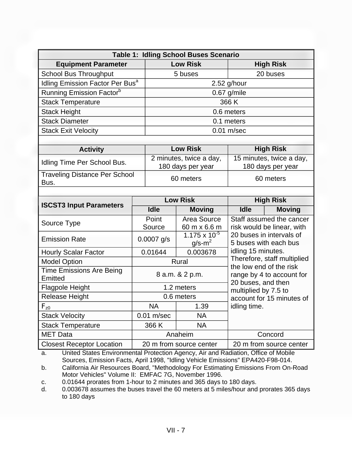| Table 1: Idling School Buses Scenario |                  |  |  |  |  |
|---------------------------------------|------------------|--|--|--|--|
| <b>Low Risk</b>                       | <b>High Risk</b> |  |  |  |  |
| 5 buses                               | 20 buses         |  |  |  |  |
|                                       | $2.52$ g/hour    |  |  |  |  |
| $0.67$ g/mile                         |                  |  |  |  |  |
| 366 K                                 |                  |  |  |  |  |
|                                       | 0.6 meters       |  |  |  |  |
| 0.1 meters                            |                  |  |  |  |  |
| $0.01$ m/sec                          |                  |  |  |  |  |
|                                       |                  |  |  |  |  |

| <b>Activity</b>                              | <b>Low Risk</b>                              | <b>High Risk</b>                              |
|----------------------------------------------|----------------------------------------------|-----------------------------------------------|
| Idling Time Per School Bus.                  | 2 minutes, twice a day,<br>180 days per year | 15 minutes, twice a day,<br>180 days per year |
| <b>Traveling Distance Per School</b><br>Bus. | 60 meters                                    | 60 meters                                     |

| <b>ISCST3 Input Parameters</b>   |                      | <b>Low Risk</b>         | <b>High Risk</b>                                                                                     |                            |  |  |
|----------------------------------|----------------------|-------------------------|------------------------------------------------------------------------------------------------------|----------------------------|--|--|
|                                  | <b>Idle</b>          | <b>Moving</b>           | <b>Idle</b>                                                                                          | <b>Moving</b>              |  |  |
| Source Type                      | Area Source<br>Point |                         | Staff assumed the cancer                                                                             |                            |  |  |
|                                  | Source               | 60 m x 6.6 m            |                                                                                                      | risk would be linear, with |  |  |
| <b>Emission Rate</b>             | $0.0007$ g/s         | $1.175 \times 10^{-5}$  | 20 buses in intervals of                                                                             |                            |  |  |
|                                  |                      | $g/s-m^2$               | 5 buses with each bus                                                                                |                            |  |  |
| <b>Hourly Scalar Factor</b>      | 0.01644              | 0.003678                | idling 15 minutes.                                                                                   |                            |  |  |
| <b>Model Option</b>              |                      | Rural                   | Therefore, staff multiplied<br>the low end of the risk                                               |                            |  |  |
| <b>Time Emissions Are Being</b>  |                      |                         |                                                                                                      |                            |  |  |
| Emitted                          | 8 a.m. & 2 p.m.      |                         | range by 4 to account for<br>20 buses, and then<br>multiplied by 7.5 to<br>account for 15 minutes of |                            |  |  |
| <b>Flagpole Height</b>           | 1.2 meters           |                         |                                                                                                      |                            |  |  |
| <b>Release Height</b>            | 0.6 meters           |                         |                                                                                                      |                            |  |  |
| $F_{z0}$                         | <b>NA</b>            | 1.39                    | idling time.                                                                                         |                            |  |  |
| <b>Stack Velocity</b>            | $0.01$ m/sec         | <b>NA</b>               |                                                                                                      |                            |  |  |
| <b>Stack Temperature</b>         | 366 K                | <b>NA</b>               |                                                                                                      |                            |  |  |
| <b>MET</b> Data                  | Anaheim              |                         |                                                                                                      | Concord                    |  |  |
| <b>Closest Receptor Location</b> |                      | 20 m from source center |                                                                                                      | 20 m from source center    |  |  |

a. United States Environmental Protection Agency, Air and Radiation, Office of Mobile Sources, Emission Facts, April 1998, "Idling Vehicle Emissions" EPA420-F98-014.

b. California Air Resources Board, "Methodology For Estimating Emissions From On-Road Motor Vehicles" Volume II: EMFAC 7G, November 1996.

c. 0.01644 prorates from 1-hour to 2 minutes and 365 days to 180 days.

d. 0.003678 assumes the buses travel the 60 meters at 5 miles/hour and prorates 365 days to 180 days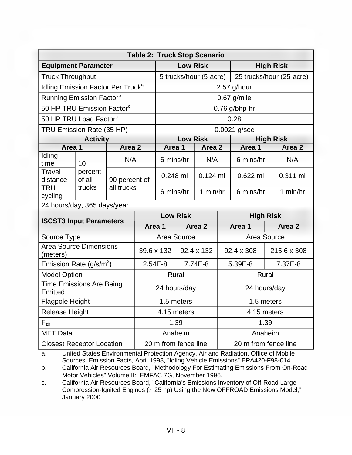| <b>Table 2: Truck Stop Scenario</b>           |                   |                   |                      |                        |                      |                   |                          |                  |  |                   |
|-----------------------------------------------|-------------------|-------------------|----------------------|------------------------|----------------------|-------------------|--------------------------|------------------|--|-------------------|
| <b>Equipment Parameter</b>                    |                   |                   |                      | <b>Low Risk</b>        |                      |                   |                          | <b>High Risk</b> |  |                   |
| <b>Truck Throughput</b>                       |                   |                   |                      | 5 trucks/hour (5-acre) |                      |                   | 25 trucks/hour (25-acre) |                  |  |                   |
| Idling Emission Factor Per Truck <sup>a</sup> |                   |                   |                      |                        |                      |                   |                          | $2.57$ g/hour    |  |                   |
| Running Emission Factor <sup>b</sup>          |                   |                   |                      |                        |                      |                   |                          | $0.67$ g/mile    |  |                   |
| 50 HP TRU Emission Factor <sup>c</sup>        |                   |                   |                      |                        |                      |                   |                          | $0.76$ g/bhp-hr  |  |                   |
| 50 HP TRU Load Factor <sup>c</sup>            |                   |                   |                      |                        |                      |                   |                          | 0.28             |  |                   |
| TRU Emission Rate (35 HP)                     |                   |                   |                      |                        |                      |                   |                          | 0.0021 g/sec     |  |                   |
|                                               | <b>Activity</b>   |                   |                      |                        | <b>Low Risk</b>      |                   |                          |                  |  | <b>High Risk</b>  |
| Area 1                                        |                   | Area <sub>2</sub> |                      | Area 1                 |                      | Area 2            |                          | Area 1           |  | Area 2            |
| Idling<br>time                                | 10                | N/A               |                      | 6 mins/hr              |                      | N/A               |                          | 6 mins/hr        |  | N/A               |
| <b>Travel</b><br>distance                     | percent<br>of all | 90 percent of     |                      | 0.248 mi               |                      | $0.124$ mi        |                          | 0.622 mi         |  | 0.311 mi          |
| <b>TRU</b><br>cycling                         | trucks            | all trucks        |                      | 6 mins/hr              |                      | $1$ min/hr        |                          | 6 mins/hr        |  | 1 min/hr          |
| 24 hours/day, 365 days/year                   |                   |                   |                      |                        |                      |                   |                          |                  |  |                   |
|                                               |                   |                   | <b>Low Risk</b>      |                        |                      |                   | <b>High Risk</b>         |                  |  |                   |
| <b>ISCST3 Input Parameters</b>                |                   |                   | Area 1               |                        |                      | Area <sub>2</sub> |                          | Area 1           |  | Area <sub>2</sub> |
| Source Type                                   |                   |                   | Area Source          |                        | Area Source          |                   |                          |                  |  |                   |
| <b>Area Source Dimensions</b><br>(meters)     |                   |                   |                      | 39.6 x 132             |                      | 92.4 x 132        |                          | 92.4 x 308       |  | 215.6 x 308       |
| Emission Rate ( $g/s/m^2$ )                   |                   |                   | $2.54E-8$            |                        |                      | $7.74E-8$         |                          | 5.39E-8          |  | 7.37E-8           |
| <b>Model Option</b>                           |                   |                   | <b>Rural</b>         |                        |                      | <b>Rural</b>      |                          |                  |  |                   |
| <b>Time Emissions Are Being</b><br>Emitted    |                   |                   | 24 hours/day         |                        | 24 hours/day         |                   |                          |                  |  |                   |
| <b>Flagpole Height</b>                        |                   |                   | 1.5 meters           |                        | 1.5 meters           |                   |                          |                  |  |                   |
| <b>Release Height</b>                         |                   |                   | 4.15 meters          |                        | 4.15 meters          |                   |                          |                  |  |                   |
| $F_{z0}$                                      |                   |                   | 1.39                 |                        | 1.39                 |                   |                          |                  |  |                   |
| <b>MET Data</b>                               |                   |                   |                      | Anaheim                |                      | Anaheim           |                          |                  |  |                   |
| <b>Closest Receptor Location</b>              |                   |                   | 20 m from fence line |                        | 20 m from fence line |                   |                          |                  |  |                   |

a. United States Environmental Protection Agency, Air and Radiation, Office of Mobile Sources, Emission Facts, April 1998, "Idling Vehicle Emissions" EPA420-F98-014.

b. California Air Resources Board, "Methodology For Estimating Emissions From On-Road Motor Vehicles" Volume II: EMFAC 7G, November 1996.

c. California Air Resources Board, "California's Emissions Inventory of Off-Road Large Compression-Ignited Engines ( $\geq$  25 hp) Using the New OFFROAD Emissions Model," January 2000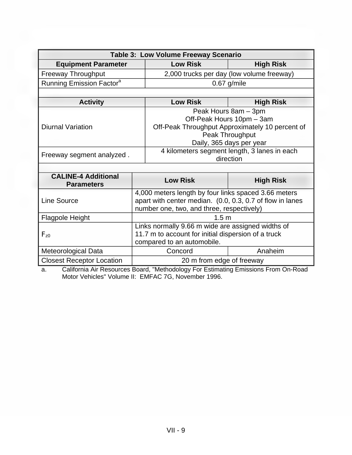| <b>Table 3: Low Volume Freeway Scenario</b>     |                           |                                                                                                                                                                |                                           |  |
|-------------------------------------------------|---------------------------|----------------------------------------------------------------------------------------------------------------------------------------------------------------|-------------------------------------------|--|
| <b>Equipment Parameter</b>                      |                           | <b>Low Risk</b>                                                                                                                                                | <b>High Risk</b>                          |  |
| <b>Freeway Throughput</b>                       |                           |                                                                                                                                                                | 2,000 trucks per day (low volume freeway) |  |
| Running Emission Factor <sup>a</sup>            |                           |                                                                                                                                                                | $0.67$ g/mile                             |  |
|                                                 |                           |                                                                                                                                                                |                                           |  |
| <b>Activity</b>                                 |                           | <b>Low Risk</b>                                                                                                                                                | <b>High Risk</b>                          |  |
| <b>Diurnal Variation</b>                        |                           | Peak Hours 8am - 3pm<br>Off-Peak Hours 10pm - 3am<br>Off-Peak Throughput Approximately 10 percent of<br>Peak Throughput<br>Daily, 365 days per year            |                                           |  |
| Freeway segment analyzed.                       |                           | 4 kilometers segment length, 3 lanes in each<br>direction                                                                                                      |                                           |  |
| <b>CALINE-4 Additional</b><br><b>Parameters</b> |                           | <b>Low Risk</b>                                                                                                                                                | <b>High Risk</b>                          |  |
| <b>Line Source</b>                              |                           | 4,000 meters length by four links spaced 3.66 meters<br>apart with center median. (0.0, 0.3, 0.7 of flow in lanes<br>number one, two, and three, respectively) |                                           |  |
| <b>Flagpole Height</b>                          |                           | 1.5 <sub>m</sub>                                                                                                                                               |                                           |  |
| $F_{z0}$                                        |                           | Links normally 9.66 m wide are assigned widths of<br>11.7 m to account for initial dispersion of a truck<br>compared to an automobile.                         |                                           |  |
| Meteorological Data                             |                           | Anaheim<br>Concord                                                                                                                                             |                                           |  |
| <b>Closest Receptor Location</b>                | 20 m from edge of freeway |                                                                                                                                                                |                                           |  |

a. California Air Resources Board, "Methodology For Estimating Emissions From On-Road Motor Vehicles" Volume II: EMFAC 7G, November 1996.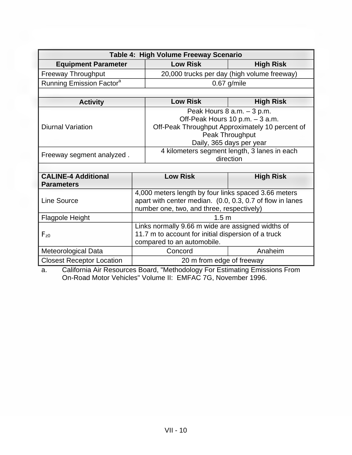| Table 4: High Volume Freeway Scenario           |                                                                                                                                                                |                                                                                                                                                                 |  |  |
|-------------------------------------------------|----------------------------------------------------------------------------------------------------------------------------------------------------------------|-----------------------------------------------------------------------------------------------------------------------------------------------------------------|--|--|
| <b>Equipment Parameter</b>                      | <b>Low Risk</b>                                                                                                                                                | <b>High Risk</b>                                                                                                                                                |  |  |
| <b>Freeway Throughput</b>                       |                                                                                                                                                                | 20,000 trucks per day (high volume freeway)                                                                                                                     |  |  |
| Running Emission Factor <sup>a</sup>            |                                                                                                                                                                | $0.67$ g/mile                                                                                                                                                   |  |  |
|                                                 |                                                                                                                                                                |                                                                                                                                                                 |  |  |
| <b>Activity</b>                                 | <b>Low Risk</b>                                                                                                                                                | <b>High Risk</b>                                                                                                                                                |  |  |
| <b>Diurnal Variation</b>                        |                                                                                                                                                                | Peak Hours 8 a.m. - 3 p.m.<br>Off-Peak Hours 10 p.m. - 3 a.m.<br>Off-Peak Throughput Approximately 10 percent of<br>Peak Throughput<br>Daily, 365 days per year |  |  |
| Freeway segment analyzed.                       |                                                                                                                                                                | 4 kilometers segment length, 3 lanes in each<br>direction                                                                                                       |  |  |
| <b>CALINE-4 Additional</b><br><b>Parameters</b> | <b>Low Risk</b>                                                                                                                                                | <b>High Risk</b>                                                                                                                                                |  |  |
| <b>Line Source</b>                              | 4,000 meters length by four links spaced 3.66 meters<br>apart with center median. (0.0, 0.3, 0.7 of flow in lanes<br>number one, two, and three, respectively) |                                                                                                                                                                 |  |  |
| <b>Flagpole Height</b>                          |                                                                                                                                                                | 1.5 <sub>m</sub>                                                                                                                                                |  |  |
| $F_{z0}$                                        | Links normally 9.66 m wide are assigned widths of<br>11.7 m to account for initial dispersion of a truck<br>compared to an automobile.                         |                                                                                                                                                                 |  |  |
|                                                 |                                                                                                                                                                | Anaheim<br>Concord                                                                                                                                              |  |  |
| Meteorological Data                             |                                                                                                                                                                |                                                                                                                                                                 |  |  |

a. California Air Resources Board, "Methodology For Estimating Emissions From On-Road Motor Vehicles" Volume II: EMFAC 7G, November 1996.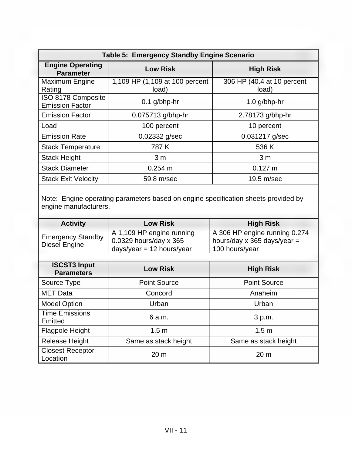| Table 5: Emergency Standby Engine Scenario   |                                         |                                     |  |  |  |  |
|----------------------------------------------|-----------------------------------------|-------------------------------------|--|--|--|--|
| <b>Engine Operating</b><br><b>Parameter</b>  | <b>Low Risk</b>                         | <b>High Risk</b>                    |  |  |  |  |
| Maximum Engine<br>Rating                     | 1,109 HP (1,109 at 100 percent<br>load) | 306 HP (40.4 at 10 percent<br>load) |  |  |  |  |
| ISO 8178 Composite<br><b>Emission Factor</b> | $0.1$ g/bhp-hr                          | $1.0$ g/bhp-hr                      |  |  |  |  |
| <b>Emission Factor</b>                       | 0.075713 g/bhp-hr                       | 2.78173 g/bhp-hr                    |  |  |  |  |
| Load                                         | 100 percent                             | 10 percent                          |  |  |  |  |
| <b>Emission Rate</b>                         | $0.02332$ g/sec                         | 0.031217 g/sec                      |  |  |  |  |
| <b>Stack Temperature</b>                     | 787 K                                   | 536 K                               |  |  |  |  |
| <b>Stack Height</b>                          | 3 <sub>m</sub>                          | 3 <sub>m</sub>                      |  |  |  |  |
| <b>Stack Diameter</b>                        | $0.254 \text{ m}$                       | $0.127 \text{ m}$                   |  |  |  |  |
| <b>Stack Exit Velocity</b>                   | 59.8 m/sec                              | 19.5 m/sec                          |  |  |  |  |

Note: Engine operating parameters based on engine specification sheets provided by engine manufacturers.

| <b>Activity</b>                                  | <b>Low Risk</b>                                                                    | <b>High Risk</b>                                                               |  |  |
|--------------------------------------------------|------------------------------------------------------------------------------------|--------------------------------------------------------------------------------|--|--|
| <b>Emergency Standby</b><br><b>Diesel Engine</b> | A 1,109 HP engine running<br>0.0329 hours/day x 365<br>$days/year = 12 hours/year$ | A 306 HP engine running 0.274<br>hours/day x 365 days/year =<br>100 hours/year |  |  |
| <b>ISCST3 Input</b><br><b>Parameters</b>         | <b>Low Risk</b>                                                                    | <b>High Risk</b>                                                               |  |  |
| Source Type                                      | <b>Point Source</b>                                                                | <b>Point Source</b>                                                            |  |  |
| <b>MET Data</b>                                  | Concord                                                                            | Anaheim                                                                        |  |  |
| <b>Model Option</b>                              | Urban                                                                              | Urban                                                                          |  |  |
| <b>Time Emissions</b><br>Emitted                 | 6 a.m.                                                                             | 3 p.m.                                                                         |  |  |
| <b>Flagpole Height</b>                           | 1.5 <sub>m</sub>                                                                   | 1.5 <sub>m</sub>                                                               |  |  |
| <b>Release Height</b>                            | Same as stack height                                                               | Same as stack height                                                           |  |  |
| <b>Closest Receptor</b><br>Location              | 20 <sub>m</sub>                                                                    | 20 <sub>m</sub>                                                                |  |  |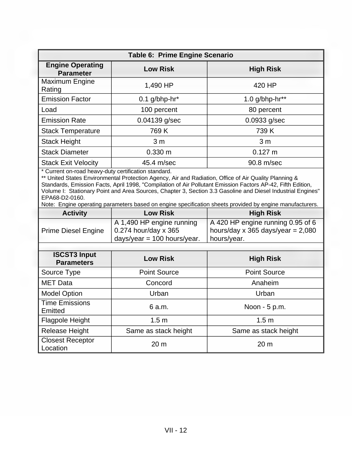| Table 6: Prime Engine Scenario              |                             |                   |  |  |  |
|---------------------------------------------|-----------------------------|-------------------|--|--|--|
| <b>Engine Operating</b><br><b>Parameter</b> | <b>Low Risk</b>             | <b>High Risk</b>  |  |  |  |
| Maximum Engine<br>Rating                    | 1,490 HP                    | 420 HP            |  |  |  |
| <b>Emission Factor</b>                      | $0.1$ g/bhp-hr <sup>*</sup> | 1.0 $g/b$ hp-hr** |  |  |  |
| Load                                        | 100 percent                 | 80 percent        |  |  |  |
| <b>Emission Rate</b>                        | 0.04139 g/sec               | $0.0933$ g/sec    |  |  |  |
| <b>Stack Temperature</b>                    | 769 K                       | 739 K             |  |  |  |
| <b>Stack Height</b>                         | 3 <sub>m</sub>              | 3 <sub>m</sub>    |  |  |  |
| <b>Stack Diameter</b>                       | $0.330 \; m$                | $0.127 \text{ m}$ |  |  |  |
| <b>Stack Exit Velocity</b>                  | 45.4 m/sec                  | 90.8 m/sec        |  |  |  |

\* Current on-road heavy-duty certification standard.

\*\* United States Environmental Protection Agency, Air and Radiation, Office of Air Quality Planning & Standards, Emission Facts, April 1998, "Compilation of Air Pollutant Emission Factors AP-42, Fifth Edition, Volume I: Stationary Point and Area Sources, Chapter 3, Section 3.3 Gasoline and Diesel Industrial Engines" EPA68-D2-0160.

Note: Engine operating parameters based on engine specification sheets provided by engine manufacturers.

| <b>Activity</b>            | <b>Low Risk</b>                                   | <b>High Risk</b>                                                                 |
|----------------------------|---------------------------------------------------|----------------------------------------------------------------------------------|
| <b>Prime Diesel Engine</b> | A 1,490 HP engine running<br>0.274 hour/day x 365 | $\vert$ A 420 HP engine running 0.95 of 6<br>hours/day x 365 days/year = $2,080$ |
|                            | days/year = $100$ hours/year.                     | hours/year.                                                                      |

| <b>ISCST3 Input</b><br><b>Parameters</b> | <b>Low Risk</b>      | <b>High Risk</b>     |  |  |
|------------------------------------------|----------------------|----------------------|--|--|
| Source Type                              | <b>Point Source</b>  | <b>Point Source</b>  |  |  |
| <b>MET Data</b>                          | Concord              | Anaheim              |  |  |
| <b>Model Option</b>                      | Urban                | Urban                |  |  |
| <b>Time Emissions</b><br>Emitted         | 6 a.m.               | Noon - 5 p.m.        |  |  |
| <b>Flagpole Height</b>                   | 1.5 <sub>m</sub>     | 1.5 <sub>m</sub>     |  |  |
| <b>Release Height</b>                    | Same as stack height | Same as stack height |  |  |
| <b>Closest Receptor</b><br>Location      | 20 <sub>m</sub>      | 20 <sub>m</sub>      |  |  |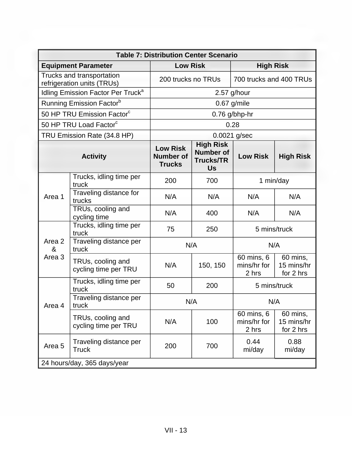| <b>Table 7: Distribution Center Scenario</b>            |                                           |                                                      |                                                                       |                                    |                                     |  |  |  |
|---------------------------------------------------------|-------------------------------------------|------------------------------------------------------|-----------------------------------------------------------------------|------------------------------------|-------------------------------------|--|--|--|
|                                                         | <b>Equipment Parameter</b>                | <b>Low Risk</b>                                      |                                                                       | <b>High Risk</b>                   |                                     |  |  |  |
| Trucks and transportation<br>refrigeration units (TRUs) |                                           | 200 trucks no TRUs                                   |                                                                       | 700 trucks and 400 TRUs            |                                     |  |  |  |
| Idling Emission Factor Per Truck <sup>a</sup>           |                                           | $2.57$ g/hour                                        |                                                                       |                                    |                                     |  |  |  |
| Running Emission Factor <sup>b</sup>                    |                                           | $0.67$ g/mile                                        |                                                                       |                                    |                                     |  |  |  |
| 50 HP TRU Emission Factor <sup>c</sup>                  |                                           | 0.76 g/bhp-hr                                        |                                                                       |                                    |                                     |  |  |  |
| 50 HP TRU Load Factor <sup>c</sup>                      |                                           | 0.28                                                 |                                                                       |                                    |                                     |  |  |  |
| TRU Emission Rate (34.8 HP)                             |                                           | 0.0021 g/sec                                         |                                                                       |                                    |                                     |  |  |  |
| <b>Activity</b>                                         |                                           | <b>Low Risk</b><br><b>Number of</b><br><b>Trucks</b> | <b>High Risk</b><br><b>Number of</b><br><b>Trucks/TR</b><br><b>Us</b> | <b>Low Risk</b>                    | <b>High Risk</b>                    |  |  |  |
| Area 1                                                  | Trucks, idling time per<br>truck          | 200                                                  | 700                                                                   | 1 min/day                          |                                     |  |  |  |
|                                                         | Traveling distance for<br>trucks          | N/A                                                  | N/A                                                                   | N/A                                | N/A                                 |  |  |  |
|                                                         | TRUs, cooling and<br>cycling time         | N/A                                                  | 400                                                                   | N/A                                | N/A                                 |  |  |  |
| Area 2<br>&<br>Area 3                                   | Trucks, idling time per<br>truck          | 75                                                   | 250                                                                   | 5 mins/truck                       |                                     |  |  |  |
|                                                         | Traveling distance per<br>truck           | N/A                                                  |                                                                       | N/A                                |                                     |  |  |  |
|                                                         | TRUs, cooling and<br>cycling time per TRU | N/A                                                  | 150, 150                                                              | 60 mins, 6<br>mins/hr for<br>2 hrs | 60 mins,<br>15 mins/hr<br>for 2 hrs |  |  |  |
| Area 4                                                  | Trucks, idling time per<br>truck          | 50<br>200                                            |                                                                       | 5 mins/truck                       |                                     |  |  |  |
|                                                         | Traveling distance per<br>truck           | N/A                                                  |                                                                       | N/A                                |                                     |  |  |  |
|                                                         | TRUs, cooling and<br>cycling time per TRU | N/A                                                  | 100                                                                   | 60 mins, 6<br>mins/hr for<br>2 hrs | 60 mins,<br>15 mins/hr<br>for 2 hrs |  |  |  |
| Area <sub>5</sub>                                       | Traveling distance per<br><b>Truck</b>    | 200                                                  | 700                                                                   | 0.44<br>mi/day                     | 0.88<br>mi/day                      |  |  |  |
| 24 hours/day, 365 days/year                             |                                           |                                                      |                                                                       |                                    |                                     |  |  |  |